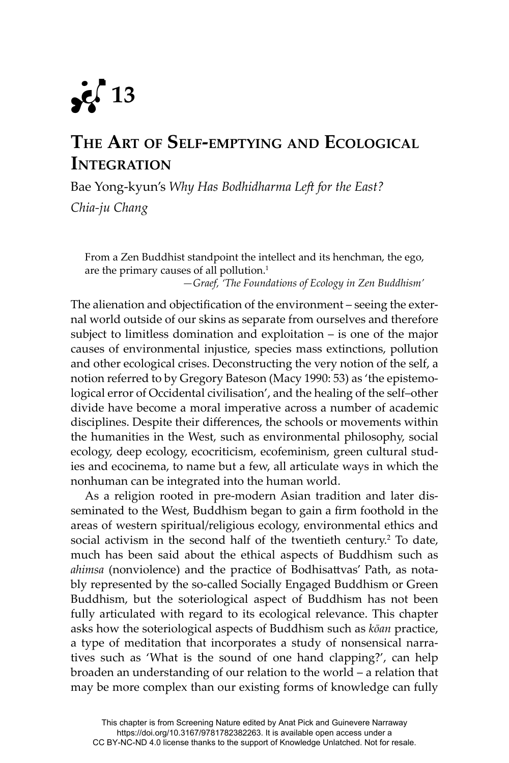# •**<sup>13</sup>**

## **The Art of Self-emptying and Ecological INTEGRATION**

Bae Yong-kyun's *Why Has Bodhidharma Left for the East? Chia-ju Chang*

From a Zen Buddhist standpoint the intellect and its henchman, the ego, are the primary causes of all pollution.<sup>1</sup>

*—Graef, 'The Foundations of Ecology in Zen Buddhism'*

The alienation and objectification of the environment – seeing the external world outside of our skins as separate from ourselves and therefore subject to limitless domination and exploitation – is one of the major causes of environmental injustice, species mass extinctions, pollution and other ecological crises. Deconstructing the very notion of the self, a notion referred to by Gregory Bateson (Macy 1990: 53) as 'the epistemological error of Occidental civilisation', and the healing of the self–other divide have become a moral imperative across a number of academic disciplines. Despite their differences, the schools or movements within the humanities in the West, such as environmental philosophy, social ecology, deep ecology, ecocriticism, ecofeminism, green cultural studies and ecocinema, to name but a few, all articulate ways in which the nonhuman can be integrated into the human world.

As a religion rooted in pre-modern Asian tradition and later disseminated to the West, Buddhism began to gain a firm foothold in the areas of western spiritual/religious ecology, environmental ethics and social activism in the second half of the twentieth century.<sup>2</sup> To date, much has been said about the ethical aspects of Buddhism such as *ahimsa* (nonviolence) and the practice of Bodhisattvas' Path, as notably represented by the so-called Socially Engaged Buddhism or Green Buddhism, but the soteriological aspect of Buddhism has not been fully articulated with regard to its ecological relevance. This chapter asks how the soteriological aspects of Buddhism such as *kōan* practice, a type of meditation that incorporates a study of nonsensical narratives such as 'What is the sound of one hand clapping?', can help broaden an understanding of our relation to the world – a relation that may be more complex than our existing forms of knowledge can fully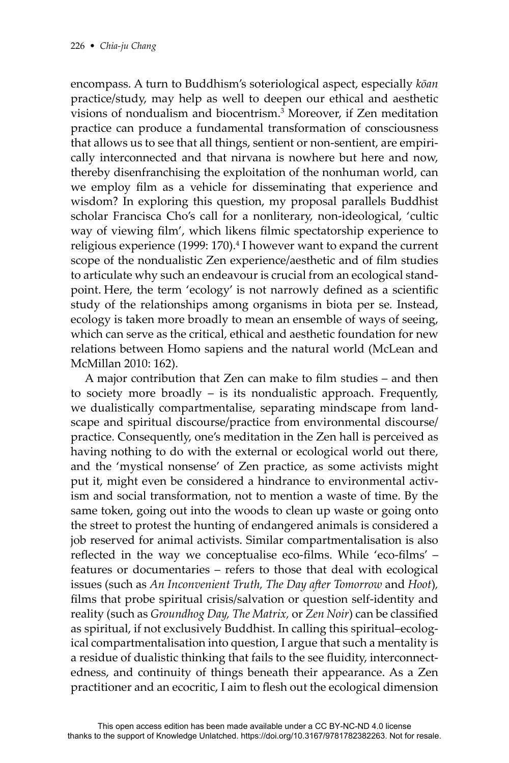encompass. A turn to Buddhism's soteriological aspect, especially *kōan* practice/study, may help as well to deepen our ethical and aesthetic visions of nondualism and biocentrism.3 Moreover, if Zen meditation practice can produce a fundamental transformation of consciousness that allows us to see that all things, sentient or non-sentient, are empirically interconnected and that nirvana is nowhere but here and now, thereby disenfranchising the exploitation of the nonhuman world, can we employ film as a vehicle for disseminating that experience and wisdom? In exploring this question, my proposal parallels Buddhist scholar Francisca Cho's call for a nonliterary, non-ideological, 'cultic way of viewing film', which likens filmic spectatorship experience to religious experience (1999: 170).<sup>4</sup> I however want to expand the current scope of the nondualistic Zen experience/aesthetic and of film studies to articulate why such an endeavour is crucial from an ecological standpoint. Here, the term 'ecology' is not narrowly defined as a scientific study of the relationships among organisms in biota per se*.* Instead, ecology is taken more broadly to mean an ensemble of ways of seeing, which can serve as the critical, ethical and aesthetic foundation for new relations between Homo sapiens and the natural world (McLean and McMillan 2010: 162).

A major contribution that Zen can make to film studies – and then to society more broadly – is its nondualistic approach. Frequently, we dualistically compartmentalise, separating mindscape from landscape and spiritual discourse/practice from environmental discourse/ practice. Consequently, one's meditation in the Zen hall is perceived as having nothing to do with the external or ecological world out there, and the 'mystical nonsense' of Zen practice, as some activists might put it, might even be considered a hindrance to environmental activism and social transformation, not to mention a waste of time. By the same token, going out into the woods to clean up waste or going onto the street to protest the hunting of endangered animals is considered a job reserved for animal activists. Similar compartmentalisation is also reflected in the way we conceptualise eco-films. While 'eco-films' – features or documentaries – refers to those that deal with ecological issues (such as *An Inconvenient Truth, The Day after Tomorrow* and *Hoot*)*,*  films that probe spiritual crisis/salvation or question self-identity and reality (such as *Groundhog Day, The Matrix,* or *Zen Noir*) can be classified as spiritual, if not exclusively Buddhist. In calling this spiritual–ecological compartmentalisation into question, I argue that such a mentality is a residue of dualistic thinking that fails to the see fluidity, interconnectedness, and continuity of things beneath their appearance. As a Zen practitioner and an ecocritic, I aim to flesh out the ecological dimension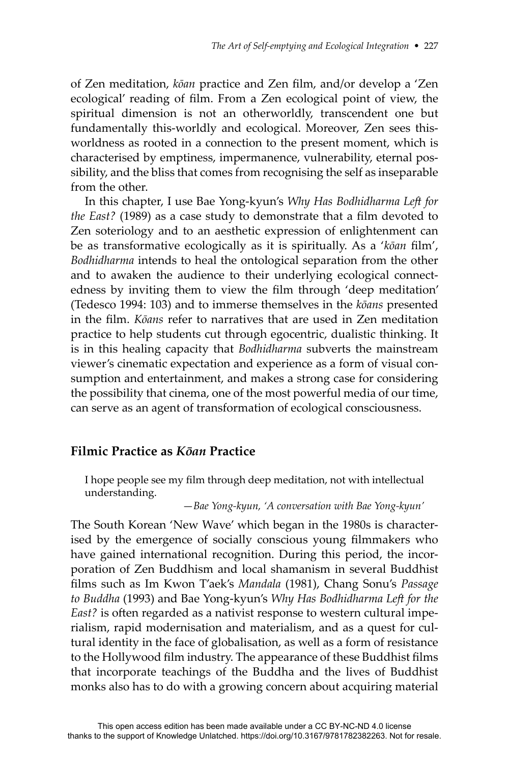of Zen meditation, *kōan* practice and Zen film, and/or develop a 'Zen ecological' reading of film. From a Zen ecological point of view, the spiritual dimension is not an otherworldly, transcendent one but fundamentally this-worldly and ecological. Moreover, Zen sees thisworldness as rooted in a connection to the present moment, which is characterised by emptiness, impermanence, vulnerability, eternal possibility, and the bliss that comes from recognising the self as inseparable from the other.

In this chapter, I use Bae Yong-kyun's *Why Has Bodhidharma Left for the East?* (1989) as a case study to demonstrate that a film devoted to Zen soteriology and to an aesthetic expression of enlightenment can be as transformative ecologically as it is spiritually. As a '*kōan* film', *Bodhidharma* intends to heal the ontological separation from the other and to awaken the audience to their underlying ecological connectedness by inviting them to view the film through 'deep meditation' (Tedesco 1994: 103) and to immerse themselves in the *kōans* presented in the film. *Kōans* refer to narratives that are used in Zen meditation practice to help students cut through egocentric, dualistic thinking. It is in this healing capacity that *Bodhidharma* subverts the mainstream viewer's cinematic expectation and experience as a form of visual consumption and entertainment, and makes a strong case for considering the possibility that cinema, one of the most powerful media of our time, can serve as an agent of transformation of ecological consciousness.

#### **Filmic Practice as** *Ko¯an* **Practice**

I hope people see my film through deep meditation, not with intellectual understanding.

—*Bae Yong-kyun, 'A conversation with Bae Yong-kyun'*

The South Korean 'New Wave' which began in the 1980s is characterised by the emergence of socially conscious young filmmakers who have gained international recognition. During this period, the incorporation of Zen Buddhism and local shamanism in several Buddhist films such as Im Kwon T'aek's *Mandala* (1981), Chang Sonu's *Passage to Buddha* (1993) and Bae Yong-kyun's *Why Has Bodhidharma Left for the East?* is often regarded as a nativist response to western cultural imperialism, rapid modernisation and materialism, and as a quest for cultural identity in the face of globalisation, as well as a form of resistance to the Hollywood film industry. The appearance of these Buddhist films that incorporate teachings of the Buddha and the lives of Buddhist monks also has to do with a growing concern about acquiring material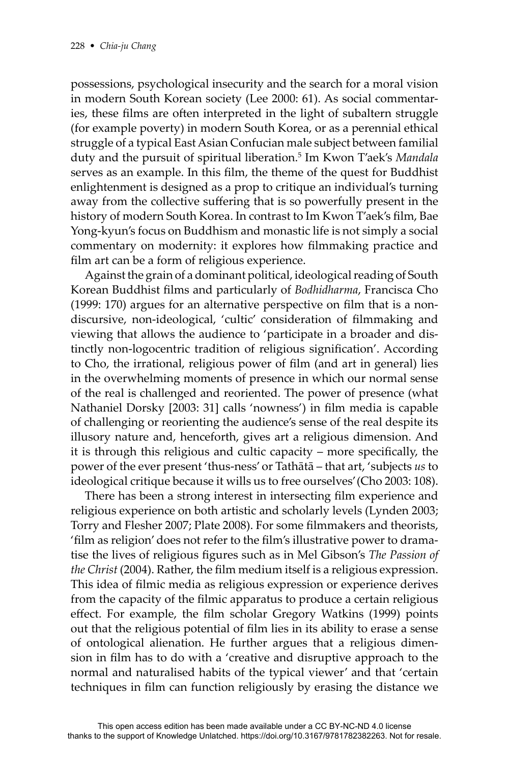possessions, psychological insecurity and the search for a moral vision in modern South Korean society (Lee 2000: 61). As social commentaries, these films are often interpreted in the light of subaltern struggle (for example poverty) in modern South Korea, or as a perennial ethical struggle of a typical East Asian Confucian male subject between familial duty and the pursuit of spiritual liberation.5 Im Kwon T'aek's *Mandala*  serves as an example. In this film, the theme of the quest for Buddhist enlightenment is designed as a prop to critique an individual's turning away from the collective suffering that is so powerfully present in the history of modern South Korea. In contrast to Im Kwon T'aek's film, Bae Yong-kyun's focus on Buddhism and monastic life is not simply a social commentary on modernity: it explores how filmmaking practice and film art can be a form of religious experience.

Against the grain of a dominant political, ideological reading of South Korean Buddhist films and particularly of *Bodhidharma*, Francisca Cho (1999: 170) argues for an alternative perspective on film that is a nondiscursive, non-ideological, 'cultic' consideration of filmmaking and viewing that allows the audience to 'participate in a broader and distinctly non-logocentric tradition of religious signification'. According to Cho, the irrational, religious power of film (and art in general) lies in the overwhelming moments of presence in which our normal sense of the real is challenged and reoriented. The power of presence (what Nathaniel Dorsky [2003: 31] calls 'nowness') in film media is capable of challenging or reorienting the audience's sense of the real despite its illusory nature and, henceforth, gives art a religious dimension. And it is through this religious and cultic capacity – more specifically, the power of the ever present 'thus-ness' or Tathātā – that art, 'subjects *us* to ideological critique because it wills us to free ourselves'(Cho 2003: 108).

There has been a strong interest in intersecting film experience and religious experience on both artistic and scholarly levels (Lynden 2003; Torry and Flesher 2007; Plate 2008). For some filmmakers and theorists, 'film as religion' does not refer to the film's illustrative power to dramatise the lives of religious figures such as in Mel Gibson's *The Passion of the Christ* (2004). Rather, the film medium itself is a religious expression. This idea of filmic media as religious expression or experience derives from the capacity of the filmic apparatus to produce a certain religious effect. For example, the film scholar Gregory Watkins (1999) points out that the religious potential of film lies in its ability to erase a sense of ontological alienation. He further argues that a religious dimension in film has to do with a 'creative and disruptive approach to the normal and naturalised habits of the typical viewer' and that 'certain techniques in film can function religiously by erasing the distance we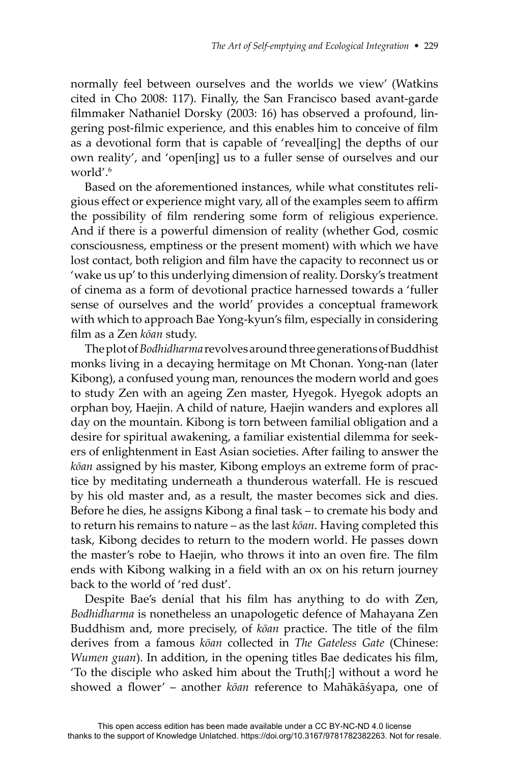normally feel between ourselves and the worlds we view' (Watkins cited in Cho 2008: 117). Finally, the San Francisco based avant-garde filmmaker Nathaniel Dorsky (2003: 16) has observed a profound, lingering post-filmic experience, and this enables him to conceive of film as a devotional form that is capable of 'reveal[ing] the depths of our own reality', and 'open[ing] us to a fuller sense of ourselves and our world'.<sup>6</sup>

Based on the aforementioned instances, while what constitutes religious effect or experience might vary, all of the examples seem to affirm the possibility of film rendering some form of religious experience. And if there is a powerful dimension of reality (whether God, cosmic consciousness, emptiness or the present moment) with which we have lost contact, both religion and film have the capacity to reconnect us or 'wake us up' to this underlying dimension of reality. Dorsky's treatment of cinema as a form of devotional practice harnessed towards a 'fuller sense of ourselves and the world' provides a conceptual framework with which to approach Bae Yong-kyun's film, especially in considering film as a Zen *kōan* study.

The plot of *Bodhidharma* revolves around three generations of Buddhist monks living in a decaying hermitage on Mt Chonan. Yong-nan (later Kibong), a confused young man, renounces the modern world and goes to study Zen with an ageing Zen master, Hyegok. Hyegok adopts an orphan boy, Haejin. A child of nature, Haejin wanders and explores all day on the mountain. Kibong is torn between familial obligation and a desire for spiritual awakening, a familiar existential dilemma for seekers of enlightenment in East Asian societies. After failing to answer the *kōan* assigned by his master, Kibong employs an extreme form of practice by meditating underneath a thunderous waterfall. He is rescued by his old master and, as a result, the master becomes sick and dies. Before he dies, he assigns Kibong a final task – to cremate his body and to return his remains to nature – as the last *kōan*. Having completed this task, Kibong decides to return to the modern world. He passes down the master's robe to Haejin, who throws it into an oven fire. The film ends with Kibong walking in a field with an ox on his return journey back to the world of 'red dust'.

Despite Bae's denial that his film has anything to do with Zen, *Bodhidharma* is nonetheless an unapologetic defence of Mahayana Zen Buddhism and, more precisely, of *kōan* practice. The title of the film derives from a famous *kōan* collected in *The Gateless Gate* (Chinese: *Wumen guan*). In addition, in the opening titles Bae dedicates his film, 'To the disciple who asked him about the Truth[;] without a word he showed a flower' – another *kōan* reference to Mahākāśyapa, one of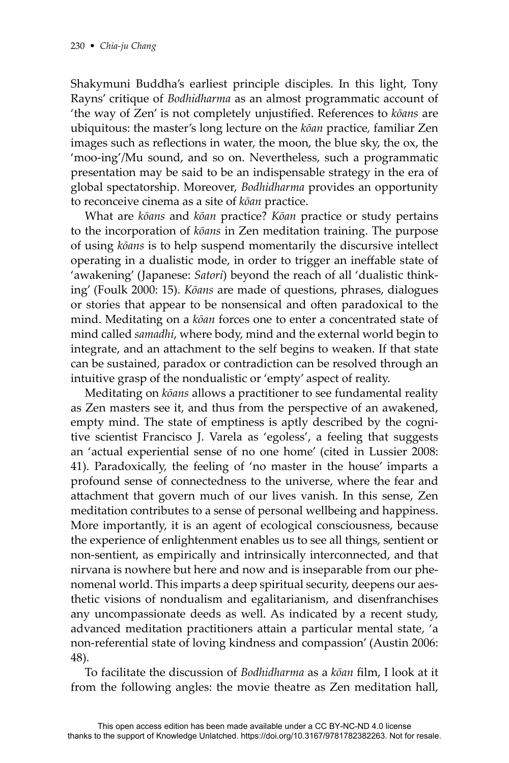Shakymuni Buddha's earliest principle disciples. In this light, Tony Rayns' critique of *Bodhidharma* as an almost programmatic account of 'the way of Zen' is not completely unjustified. References to *kōans* are ubiquitous: the master's long lecture on the *kōan* practice*,* familiar Zen images such as reflections in water, the moon, the blue sky, the ox, the 'moo-ing'/Mu sound, and so on. Nevertheless, such a programmatic presentation may be said to be an indispensable strategy in the era of global spectatorship. Moreover, *Bodhidharma* provides an opportunity to reconceive cinema as a site of *kōan* practice.

What are *kōans* and *kōan* practice? *Kōan* practice or study pertains to the incorporation of *kōans* in Zen meditation training. The purpose of using *kōans* is to help suspend momentarily the discursive intellect operating in a dualistic mode, in order to trigger an ineffable state of 'awakening' (Japanese: *Satori*) beyond the reach of all 'dualistic thinking' (Foulk 2000: 15). *Kōans* are made of questions, phrases, dialogues or stories that appear to be nonsensical and often paradoxical to the mind. Meditating on a *kōan* forces one to enter a concentrated state of mind called *samadhi*, where body, mind and the external world begin to integrate, and an attachment to the self begins to weaken. If that state can be sustained, paradox or contradiction can be resolved through an intuitive grasp of the nondualistic or 'empty' aspect of reality.

Meditating on *kōans* allows a practitioner to see fundamental reality as Zen masters see it, and thus from the perspective of an awakened, empty mind. The state of emptiness is aptly described by the cognitive scientist Francisco J. Varela as 'egoless', a feeling that suggests an 'actual experiential sense of no one home' (cited in Lussier 2008: 41). Paradoxically, the feeling of 'no master in the house' imparts a profound sense of connectedness to the universe, where the fear and attachment that govern much of our lives vanish. In this sense, Zen meditation contributes to a sense of personal wellbeing and happiness. More importantly, it is an agent of ecological consciousness, because the experience of enlightenment enables us to see all things, sentient or non-sentient, as empirically and intrinsically interconnected, and that nirvana is nowhere but here and now and is inseparable from our phenomenal world. This imparts a deep spiritual security, deepens our aesthetic visions of nondualism and egalitarianism, and disenfranchises any uncompassionate deeds as well. As indicated by a recent study, advanced meditation practitioners attain a particular mental state, 'a non-referential state of loving kindness and compassion' (Austin 2006: 48).

To facilitate the discussion of *Bodhidharma* as a *kōan* film, I look at it from the following angles: the movie theatre as Zen meditation hall,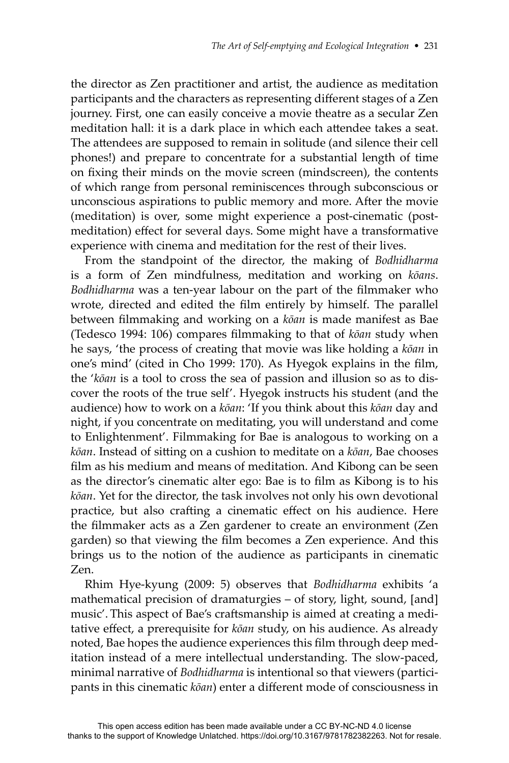the director as Zen practitioner and artist, the audience as meditation participants and the characters as representing different stages of a Zen journey. First, one can easily conceive a movie theatre as a secular Zen meditation hall: it is a dark place in which each attendee takes a seat. The attendees are supposed to remain in solitude (and silence their cell phones!) and prepare to concentrate for a substantial length of time on fixing their minds on the movie screen (mindscreen), the contents of which range from personal reminiscences through subconscious or unconscious aspirations to public memory and more. After the movie (meditation) is over, some might experience a post-cinematic (postmeditation) effect for several days. Some might have a transformative experience with cinema and meditation for the rest of their lives.

From the standpoint of the director, the making of *Bodhidharma* is a form of Zen mindfulness, meditation and working on *kōans*. *Bodhidharma* was a ten-year labour on the part of the filmmaker who wrote, directed and edited the film entirely by himself. The parallel between filmmaking and working on a *kōan* is made manifest as Bae (Tedesco 1994: 106) compares filmmaking to that of *kōan* study when he says, 'the process of creating that movie was like holding a *kōan* in one's mind' (cited in Cho 1999: 170). As Hyegok explains in the film, the '*kōan* is a tool to cross the sea of passion and illusion so as to discover the roots of the true self'. Hyegok instructs his student (and the audience) how to work on a *kōan*: 'If you think about this *kōan* day and night, if you concentrate on meditating, you will understand and come to Enlightenment'. Filmmaking for Bae is analogous to working on a *kōan*. Instead of sitting on a cushion to meditate on a *kōan*, Bae chooses film as his medium and means of meditation. And Kibong can be seen as the director's cinematic alter ego: Bae is to film as Kibong is to his *kōan*. Yet for the director, the task involves not only his own devotional practice, but also crafting a cinematic effect on his audience. Here the filmmaker acts as a Zen gardener to create an environment (Zen garden) so that viewing the film becomes a Zen experience. And this brings us to the notion of the audience as participants in cinematic Zen.

Rhim Hye-kyung (2009: 5) observes that *Bodhidharma* exhibits 'a mathematical precision of dramaturgies – of story, light, sound, [and] music'. This aspect of Bae's craftsmanship is aimed at creating a meditative effect, a prerequisite for *kōan* study, on his audience. As already noted, Bae hopes the audience experiences this film through deep meditation instead of a mere intellectual understanding. The slow-paced, minimal narrative of *Bodhidharma* is intentional so that viewers (participants in this cinematic *kōan*) enter a different mode of consciousness in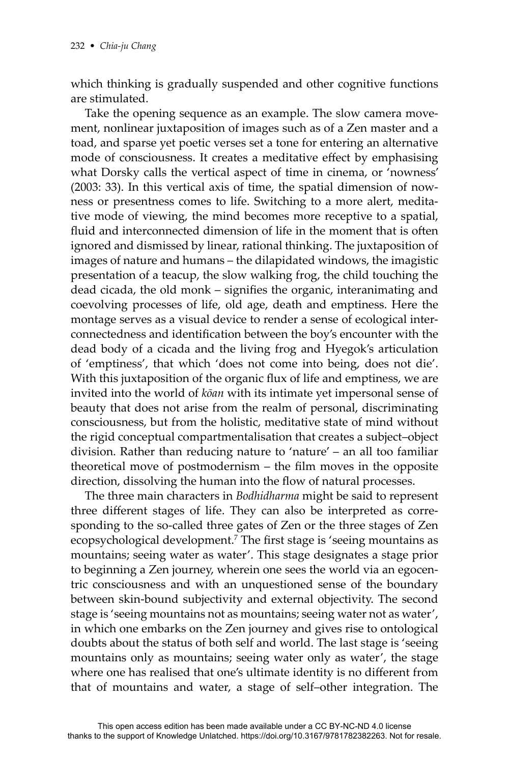which thinking is gradually suspended and other cognitive functions are stimulated.

Take the opening sequence as an example. The slow camera movement, nonlinear juxtaposition of images such as of a Zen master and a toad, and sparse yet poetic verses set a tone for entering an alternative mode of consciousness. It creates a meditative effect by emphasising what Dorsky calls the vertical aspect of time in cinema, or 'nowness' (2003: 33). In this vertical axis of time, the spatial dimension of nowness or presentness comes to life. Switching to a more alert, meditative mode of viewing, the mind becomes more receptive to a spatial, fluid and interconnected dimension of life in the moment that is often ignored and dismissed by linear, rational thinking. The juxtaposition of images of nature and humans – the dilapidated windows, the imagistic presentation of a teacup, the slow walking frog, the child touching the dead cicada, the old monk – signifies the organic, interanimating and coevolving processes of life, old age, death and emptiness. Here the montage serves as a visual device to render a sense of ecological interconnectedness and identification between the boy's encounter with the dead body of a cicada and the living frog and Hyegok's articulation of 'emptiness', that which 'does not come into being, does not die'. With this juxtaposition of the organic flux of life and emptiness, we are invited into the world of *kōan* with its intimate yet impersonal sense of beauty that does not arise from the realm of personal, discriminating consciousness, but from the holistic, meditative state of mind without the rigid conceptual compartmentalisation that creates a subject–object division. Rather than reducing nature to 'nature' – an all too familiar theoretical move of postmodernism – the film moves in the opposite direction, dissolving the human into the flow of natural processes.

The three main characters in *Bodhidharma* might be said to represent three different stages of life. They can also be interpreted as corresponding to the so-called three gates of Zen or the three stages of Zen ecopsychological development.7 The first stage is 'seeing mountains as mountains; seeing water as water'. This stage designates a stage prior to beginning a Zen journey, wherein one sees the world via an egocentric consciousness and with an unquestioned sense of the boundary between skin-bound subjectivity and external objectivity. The second stage is 'seeing mountains not as mountains; seeing water not as water', in which one embarks on the Zen journey and gives rise to ontological doubts about the status of both self and world. The last stage is 'seeing mountains only as mountains; seeing water only as water', the stage where one has realised that one's ultimate identity is no different from that of mountains and water, a stage of self–other integration. The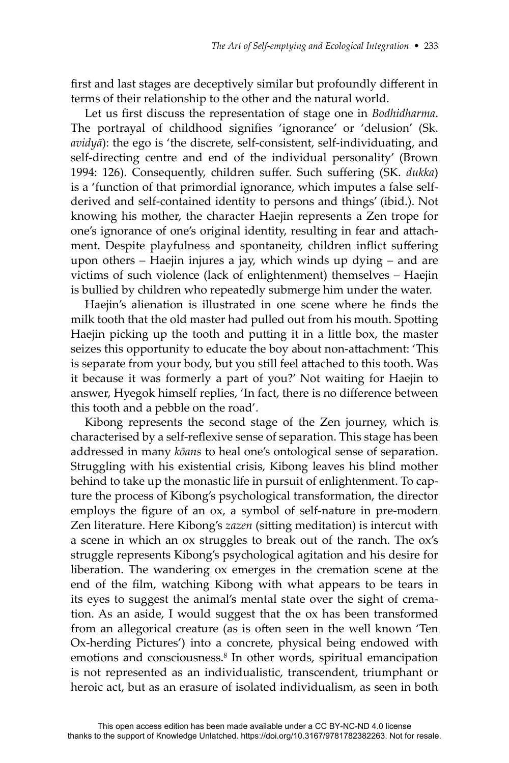first and last stages are deceptively similar but profoundly different in terms of their relationship to the other and the natural world.

Let us first discuss the representation of stage one in *Bodhidharma*. The portrayal of childhood signifies 'ignorance' or 'delusion' (Sk. *avidyā*): the ego is 'the discrete, self-consistent, self-individuating, and self-directing centre and end of the individual personality' (Brown 1994: 126). Consequently, children suffer. Such suffering (SK. *dukka*) is a 'function of that primordial ignorance, which imputes a false selfderived and self-contained identity to persons and things' (ibid.). Not knowing his mother, the character Haejin represents a Zen trope for one's ignorance of one's original identity, resulting in fear and attachment. Despite playfulness and spontaneity, children inflict suffering upon others – Haejin injures a jay, which winds up dying – and are victims of such violence (lack of enlightenment) themselves – Haejin is bullied by children who repeatedly submerge him under the water.

Haejin's alienation is illustrated in one scene where he finds the milk tooth that the old master had pulled out from his mouth. Spotting Haejin picking up the tooth and putting it in a little box, the master seizes this opportunity to educate the boy about non-attachment: 'This is separate from your body, but you still feel attached to this tooth. Was it because it was formerly a part of you?' Not waiting for Haejin to answer, Hyegok himself replies, 'In fact, there is no difference between this tooth and a pebble on the road'.

Kibong represents the second stage of the Zen journey, which is characterised by a self-reflexive sense of separation. This stage has been addressed in many *kōans* to heal one's ontological sense of separation. Struggling with his existential crisis, Kibong leaves his blind mother behind to take up the monastic life in pursuit of enlightenment. To capture the process of Kibong's psychological transformation, the director employs the figure of an ox, a symbol of self-nature in pre-modern Zen literature. Here Kibong's *zazen* (sitting meditation) is intercut with a scene in which an ox struggles to break out of the ranch. The ox's struggle represents Kibong's psychological agitation and his desire for liberation. The wandering ox emerges in the cremation scene at the end of the film, watching Kibong with what appears to be tears in its eyes to suggest the animal's mental state over the sight of cremation. As an aside, I would suggest that the ox has been transformed from an allegorical creature (as is often seen in the well known 'Ten Ox-herding Pictures') into a concrete, physical being endowed with emotions and consciousness.<sup>8</sup> In other words, spiritual emancipation is not represented as an individualistic, transcendent, triumphant or heroic act, but as an erasure of isolated individualism, as seen in both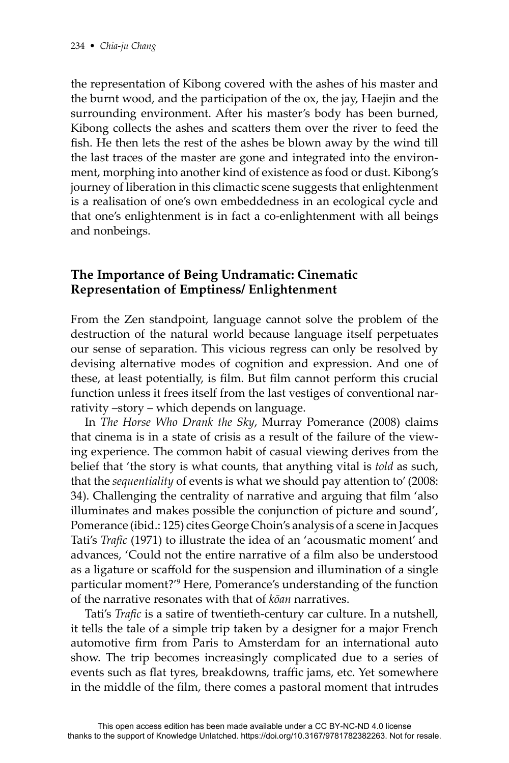the representation of Kibong covered with the ashes of his master and the burnt wood, and the participation of the ox, the jay, Haejin and the surrounding environment. After his master's body has been burned, Kibong collects the ashes and scatters them over the river to feed the fish. He then lets the rest of the ashes be blown away by the wind till the last traces of the master are gone and integrated into the environment, morphing into another kind of existence as food or dust. Kibong's journey of liberation in this climactic scene suggests that enlightenment is a realisation of one's own embeddedness in an ecological cycle and that one's enlightenment is in fact a co-enlightenment with all beings and nonbeings.

#### **The Importance of Being Undramatic: Cinematic Representation of Emptiness/ Enlightenment**

From the Zen standpoint, language cannot solve the problem of the destruction of the natural world because language itself perpetuates our sense of separation. This vicious regress can only be resolved by devising alternative modes of cognition and expression. And one of these, at least potentially, is film. But film cannot perform this crucial function unless it frees itself from the last vestiges of conventional narrativity –story – which depends on language.

In *The Horse Who Drank the Sky*, Murray Pomerance (2008) claims that cinema is in a state of crisis as a result of the failure of the viewing experience. The common habit of casual viewing derives from the belief that 'the story is what counts, that anything vital is *told* as such, that the *sequentiality* of events is what we should pay attention to' (2008: 34). Challenging the centrality of narrative and arguing that film 'also illuminates and makes possible the conjunction of picture and sound', Pomerance (ibid.: 125) cites George Choin's analysis of a scene in Jacques Tati's *Trafic* (1971) to illustrate the idea of an 'acousmatic moment' and advances, 'Could not the entire narrative of a film also be understood as a ligature or scaffold for the suspension and illumination of a single particular moment?'<sup>9</sup> Here, Pomerance's understanding of the function of the narrative resonates with that of *kōan* narratives.

Tati's *Trafic* is a satire of twentieth-century car culture. In a nutshell, it tells the tale of a simple trip taken by a designer for a major French automotive firm from Paris to Amsterdam for an international auto show. The trip becomes increasingly complicated due to a series of events such as flat tyres, breakdowns, traffic jams, etc. Yet somewhere in the middle of the film, there comes a pastoral moment that intrudes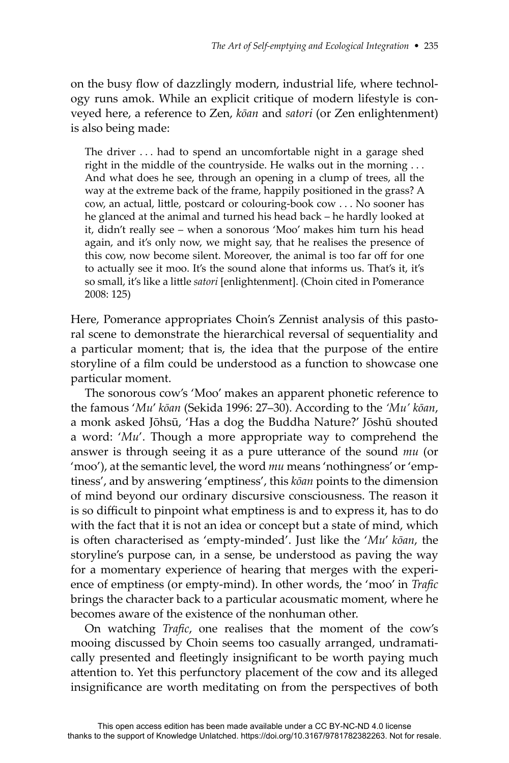on the busy flow of dazzlingly modern, industrial life, where technology runs amok. While an explicit critique of modern lifestyle is conveyed here, a reference to Zen, *kōan* and *satori* (or Zen enlightenment) is also being made:

The driver . . . had to spend an uncomfortable night in a garage shed right in the middle of the countryside. He walks out in the morning ... And what does he see, through an opening in a clump of trees, all the way at the extreme back of the frame, happily positioned in the grass? A cow, an actual, little, postcard or colouring-book cow . . . No sooner has he glanced at the animal and turned his head back – he hardly looked at it, didn't really see – when a sonorous 'Moo' makes him turn his head again, and it's only now, we might say, that he realises the presence of this cow, now become silent. Moreover, the animal is too far off for one to actually see it moo. It's the sound alone that informs us. That's it, it's so small, it's like a little *satori* [enlightenment]. (Choin cited in Pomerance 2008: 125)

Here, Pomerance appropriates Choin's Zennist analysis of this pastoral scene to demonstrate the hierarchical reversal of sequentiality and a particular moment; that is, the idea that the purpose of the entire storyline of a film could be understood as a function to showcase one particular moment.

The sonorous cow's 'Moo' makes an apparent phonetic reference to the famous '*Mu*' *kōan* (Sekida 1996: 27–30). According to the *'Mu' kōan*, a monk asked Jōhsū, 'Has a dog the Buddha Nature?' Jōshū shouted a word: '*Mu*'. Though a more appropriate way to comprehend the answer is through seeing it as a pure utterance of the sound *mu* (or 'moo'), at the semantic level, the word *mu* means 'nothingness' or 'emptiness', and by answering 'emptiness', this *kōan* points to the dimension of mind beyond our ordinary discursive consciousness. The reason it is so difficult to pinpoint what emptiness is and to express it, has to do with the fact that it is not an idea or concept but a state of mind, which is often characterised as 'empty-minded'. Just like the '*Mu*' *kōan*, the storyline's purpose can, in a sense, be understood as paving the way for a momentary experience of hearing that merges with the experience of emptiness (or empty-mind). In other words, the 'moo' in *Trafic* brings the character back to a particular acousmatic moment, where he becomes aware of the existence of the nonhuman other.

On watching *Trafic*, one realises that the moment of the cow's mooing discussed by Choin seems too casually arranged, undramatically presented and fleetingly insignificant to be worth paying much attention to. Yet this perfunctory placement of the cow and its alleged insignificance are worth meditating on from the perspectives of both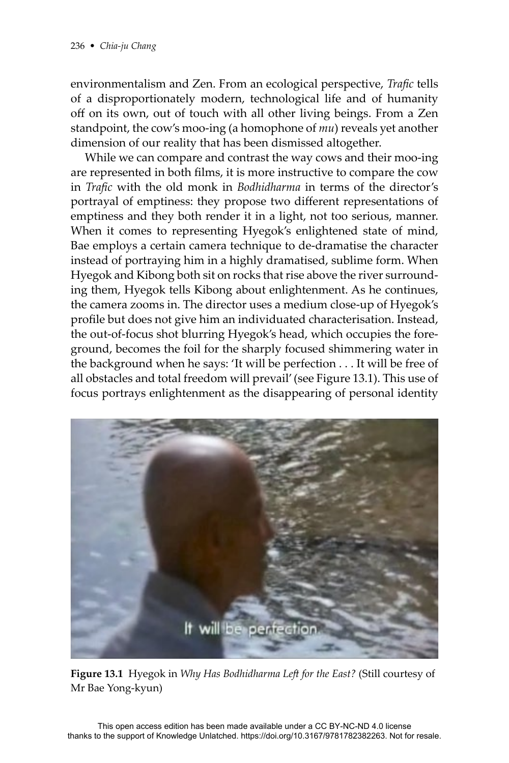environmentalism and Zen. From an ecological perspective, *Trafic* tells of a disproportionately modern, technological life and of humanity off on its own, out of touch with all other living beings. From a Zen standpoint, the cow's moo-ing (a homophone of *mu*) reveals yet another dimension of our reality that has been dismissed altogether.

While we can compare and contrast the way cows and their moo-ing are represented in both films, it is more instructive to compare the cow in *Trafic* with the old monk in *Bodhidharma* in terms of the director's portrayal of emptiness: they propose two different representations of emptiness and they both render it in a light, not too serious, manner. When it comes to representing Hyegok's enlightened state of mind, Bae employs a certain camera technique to de-dramatise the character instead of portraying him in a highly dramatised, sublime form. When Hyegok and Kibong both sit on rocks that rise above the river surrounding them, Hyegok tells Kibong about enlightenment. As he continues, the camera zooms in. The director uses a medium close-up of Hyegok's profile but does not give him an individuated characterisation. Instead, the out-of-focus shot blurring Hyegok's head, which occupies the foreground, becomes the foil for the sharply focused shimmering water in the background when he says: 'It will be perfection . . . It will be free of all obstacles and total freedom will prevail' (see Figure 13.1). This use of focus portrays enlightenment as the disappearing of personal identity



**Figure 13.1** Hyegok in *Why Has Bodhidharma Left for the East?* (Still courtesy of Mr Bae Yong-kyun)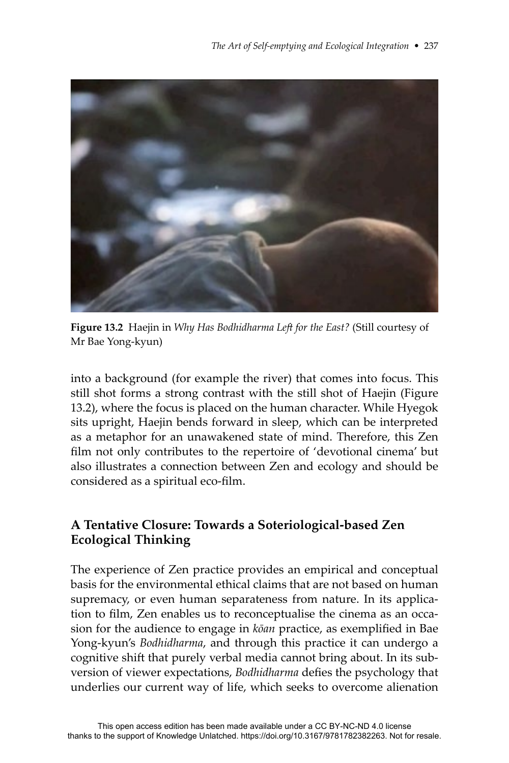

**Figure 13.2** Haejin in *Why Has Bodhidharma Left for the East?* (Still courtesy of Mr Bae Yong-kyun)

into a background (for example the river) that comes into focus. This still shot forms a strong contrast with the still shot of Haejin (Figure 13.2), where the focus is placed on the human character. While Hyegok sits upright, Haejin bends forward in sleep, which can be interpreted as a metaphor for an unawakened state of mind. Therefore, this Zen film not only contributes to the repertoire of 'devotional cinema' but also illustrates a connection between Zen and ecology and should be considered as a spiritual eco-film.

### **A Tentative Closure: Towards a Soteriological-based Zen Ecological Thinking**

The experience of Zen practice provides an empirical and conceptual basis for the environmental ethical claims that are not based on human supremacy, or even human separateness from nature. In its application to film, Zen enables us to reconceptualise the cinema as an occasion for the audience to engage in *kōan* practice, as exemplified in Bae Yong-kyun's *Bodhidharma*, and through this practice it can undergo a cognitive shift that purely verbal media cannot bring about. In its subversion of viewer expectations, *Bodhidharma* defies the psychology that underlies our current way of life, which seeks to overcome alienation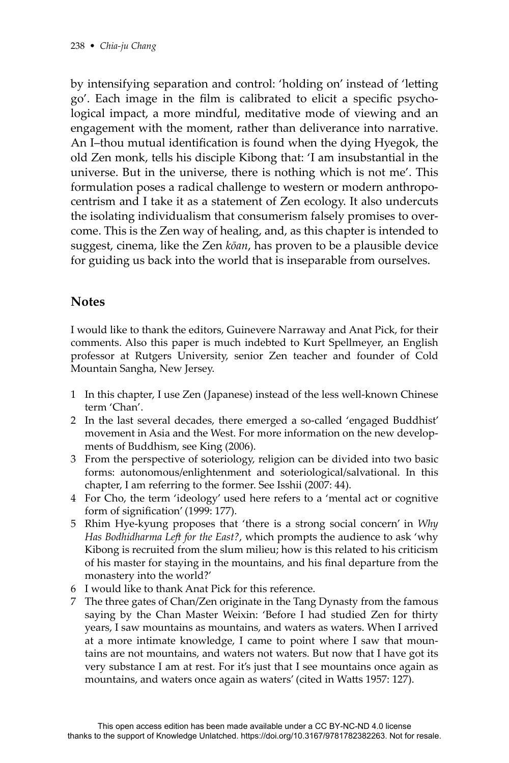by intensifying separation and control: 'holding on' instead of 'letting go'. Each image in the film is calibrated to elicit a specific psychological impact, a more mindful, meditative mode of viewing and an engagement with the moment, rather than deliverance into narrative. An I–thou mutual identification is found when the dying Hyegok, the old Zen monk, tells his disciple Kibong that: 'I am insubstantial in the universe. But in the universe, there is nothing which is not me'. This formulation poses a radical challenge to western or modern anthropocentrism and I take it as a statement of Zen ecology. It also undercuts the isolating individualism that consumerism falsely promises to overcome. This is the Zen way of healing, and, as this chapter is intended to suggest, cinema, like the Zen *kōan*, has proven to be a plausible device for guiding us back into the world that is inseparable from ourselves.

#### **Notes**

I would like to thank the editors, Guinevere Narraway and Anat Pick, for their comments. Also this paper is much indebted to Kurt Spellmeyer, an English professor at Rutgers University, senior Zen teacher and founder of Cold Mountain Sangha, New Jersey.

- 1 In this chapter, I use Zen (Japanese) instead of the less well-known Chinese term 'Chan'.
- 2 In the last several decades, there emerged a so-called 'engaged Buddhist' movement in Asia and the West. For more information on the new developments of Buddhism, see King (2006).
- 3 From the perspective of soteriology, religion can be divided into two basic forms: autonomous/enlightenment and soteriological/salvational. In this chapter, I am referring to the former. See Isshii (2007: 44).
- 4 For Cho, the term 'ideology' used here refers to a 'mental act or cognitive form of signification' (1999: 177).
- 5 Rhim Hye-kyung proposes that 'there is a strong social concern' in *Why Has Bodhidharma Left for the East?*, which prompts the audience to ask 'why Kibong is recruited from the slum milieu; how is this related to his criticism of his master for staying in the mountains, and his final departure from the monastery into the world?'
- 6 I would like to thank Anat Pick for this reference.
- 7 The three gates of Chan/Zen originate in the Tang Dynasty from the famous saying by the Chan Master Weixin: 'Before I had studied Zen for thirty years, I saw mountains as mountains, and waters as waters. When I arrived at a more intimate knowledge, I came to point where I saw that mountains are not mountains, and waters not waters. But now that I have got its very substance I am at rest. For it's just that I see mountains once again as mountains, and waters once again as waters' (cited in Watts 1957: 127).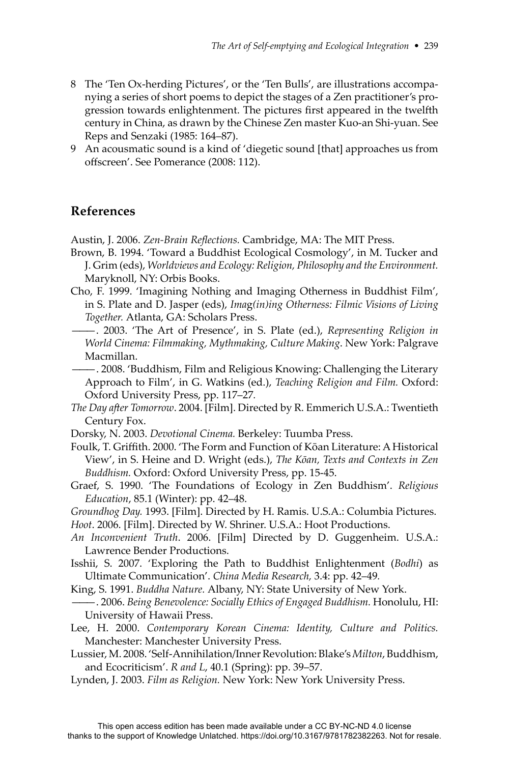- 8 The 'Ten Ox-herding Pictures', or the 'Ten Bulls', are illustrations accompanying a series of short poems to depict the stages of a Zen practitioner's progression towards enlightenment. The pictures first appeared in the twelfth century in China, as drawn by the Chinese Zen master Kuo-an Shi-yuan. See Reps and Senzaki (1985: 164–87).
- 9 An acousmatic sound is a kind of 'diegetic sound [that] approaches us from offscreen'. See Pomerance (2008: 112).

#### **References**

Austin, J. 2006. *Zen-Brain Reflections.* Cambridge, MA: The MIT Press.

- Brown, B. 1994. 'Toward a Buddhist Ecological Cosmology', in M. Tucker and J. Grim (eds), *Worldviews and Ecology: Religion, Philosophy and the Environment.* Maryknoll, NY: Orbis Books.
- Cho, F. 1999. 'Imagining Nothing and Imaging Otherness in Buddhist Film', in S. Plate and D. Jasper (eds), *Ima*g*(in)ing Otherness: Filmic Visions of Living Together.* Atlanta, GA: Scholars Press.
- ———. 2003. 'The Art of Presence', in S. Plate (ed.), *Representing Religion in World Cinema: Filmmaking, Mythmaking, Culture Making*. New York: Palgrave Macmillan.

———. 2008. 'Buddhism, Film and Religious Knowing: Challenging the Literary Approach to Film', in G. Watkins (ed.), *Teaching Religion and Film.* Oxford: Oxford University Press, pp. 117–27*.*

- *The Day after Tomorrow*. 2004. [Film]. Directed by R. Emmerich U.S.A.: Twentieth Century Fox.
- Dorsky, N. 2003. *Devotional Cinema.* Berkeley: Tuumba Press.
- Foulk, T. Griffith. 2000. 'The Form and Function of Kōan Literature: A Historical View', in S. Heine and D. Wright (eds.), *The Kōan, Texts and Contexts in Zen Buddhism.* Oxford: Oxford University Press, pp. 15-45.
- Graef, S. 1990. 'The Foundations of Ecology in Zen Buddhism'. *Religious Education*, 85.1 (Winter): pp. 42–48.
- *Groundhog Day.* 1993. [Film]. Directed by H. Ramis. U.S.A.: Columbia Pictures.

*Hoot*. 2006. [Film]. Directed by W. Shriner. U.S.A.: Hoot Productions.

- *An Inconvenient Truth*. 2006. [Film] Directed by D. Guggenheim. U.S.A.: Lawrence Bender Productions.
- Isshii, S. 2007. 'Exploring the Path to Buddhist Enlightenment (*Bodhi*) as Ultimate Communication'. *China Media Research,* 3.4: pp. 42–49*.*
- King, S. 1991. *Buddha Nature.* Albany, NY: State University of New York.
- ———. 2006. *Being Benevolence: Socially Ethics of Engaged Buddhism.* Honolulu, HI: University of Hawaii Press.
- Lee, H. 2000. *Contemporary Korean Cinema: Identity, Culture and Politics.*  Manchester: Manchester University Press.
- Lussier, M. 2008. 'Self-Annihilation/Inner Revolution: Blake's *Milton*, Buddhism, and Ecocriticism'. *R and L*, 40.1 (Spring): pp. 39–57.
- Lynden, J. 2003. *Film as Religion.* New York: New York University Press.